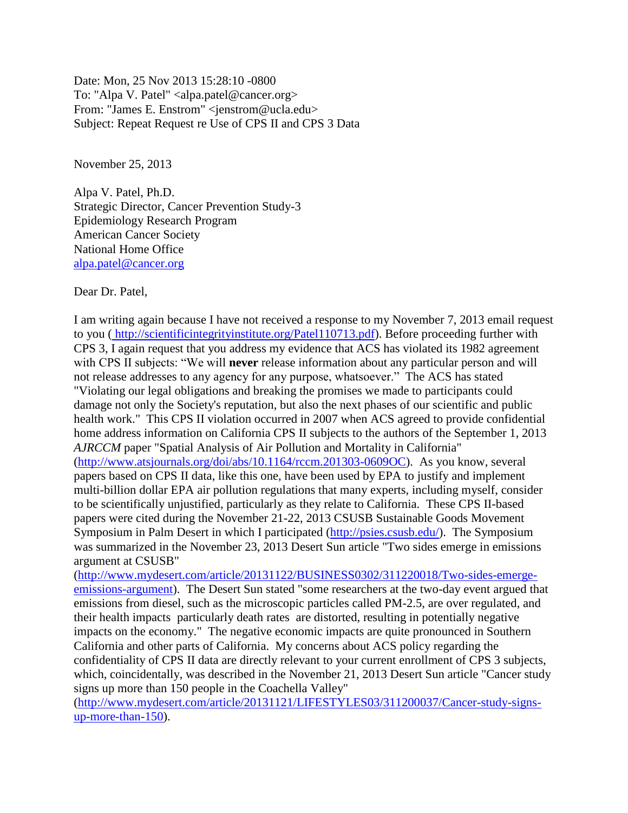Date: Mon, 25 Nov 2013 15:28:10 -0800 To: "Alpa V. Patel" <alpa.patel@cancer.org> From: "James E. Enstrom" <jenstrom@ucla.edu> Subject: Repeat Request re Use of CPS II and CPS 3 Data

November 25, 2013

Alpa V. Patel, Ph.D. Strategic Director, Cancer Prevention Study-3 Epidemiology Research Program American Cancer Society National Home Office [alpa.patel@cancer.org](mailto:alpa.patel@cancer.org)

Dear Dr. Patel,

I am writing again because I have not received a response to my November 7, 2013 email request to you ( [http://scientificintegrityinstitute.org/Patel110713.pdf\)](http://scientificintegrityinstitute.org/Patel110713.pdf). Before proceeding further with CPS 3, I again request that you address my evidence that ACS has violated its 1982 agreement with CPS II subjects: "We will **never** release information about any particular person and will not release addresses to any agency for any purpose, whatsoever." The ACS has stated "Violating our legal obligations and breaking the promises we made to participants could damage not only the Society's reputation, but also the next phases of our scientific and public health work." This CPS II violation occurred in 2007 when ACS agreed to provide confidential home address information on California CPS II subjects to the authors of the September 1, 2013 *AJRCCM* paper "Spatial Analysis of Air Pollution and Mortality in California" [\(http://www.atsjournals.org/doi/abs/10.1164/rccm.201303-0609OC\)](http://www.atsjournals.org/doi/abs/10.1164/rccm.201303-0609OC). As you know, several papers based on CPS II data, like this one, have been used by EPA to justify and implement multi-billion dollar EPA air pollution regulations that many experts, including myself, consider to be scientifically unjustified, particularly as they relate to California. These CPS II-based papers were cited during the November 21-22, 2013 CSUSB Sustainable Goods Movement Symposium in Palm Desert in which I participated [\(http://psies.csusb.edu/\)](http://psies.csusb.edu/). The Symposium was summarized in the November 23, 2013 Desert Sun article "Two sides emerge in emissions argument at CSUSB"

[\(http://www.mydesert.com/article/20131122/BUSINESS0302/311220018/Two-sides-emerge](http://www.mydesert.com/article/20131122/BUSINESS0302/311220018/Two-sides-emerge-emissions-argument)[emissions-argument\)](http://www.mydesert.com/article/20131122/BUSINESS0302/311220018/Two-sides-emerge-emissions-argument). The Desert Sun stated "some researchers at the two-day event argued that emissions from diesel, such as the microscopic particles called PM-2.5, are over regulated, and their health impacts particularly death rates are distorted, resulting in potentially negative impacts on the economy." The negative economic impacts are quite pronounced in Southern California and other parts of California. My concerns about ACS policy regarding the confidentiality of CPS II data are directly relevant to your current enrollment of CPS 3 subjects, which, coincidentally, was described in the November 21, 2013 Desert Sun article "Cancer study signs up more than 150 people in the Coachella Valley"

[\(http://www.mydesert.com/article/20131121/LIFESTYLES03/311200037/Cancer-study-signs](http://www.mydesert.com/article/20131121/LIFESTYLES03/311200037/Cancer-study-signs-up-more-than-150)[up-more-than-150\)](http://www.mydesert.com/article/20131121/LIFESTYLES03/311200037/Cancer-study-signs-up-more-than-150).